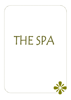# THE SPA

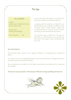# The Spa

### AT A GLANCE

Location Southern tip of Medhufushi Island close to Water Villas

Service Hours 10:00am till 08:00pm

Phone Extension 336

Our over the Water Spa Pavilion is a sanctuary for total body relaxation and spiritual rebalance.

In keeping with the simplicity of island life, our holistic Spa has been designed to fulfill the needs of today's hectic society without making any compromises when it comes to the Asian way of unwinding and sensational body enjoyment.

You may also enjoy a treatment in the open air where the sun is shining down on your body and the sound of the lagoon waves are playing with your soul.

## SPA TREATMENTS

All treatments offer a choice of our Signature Relaxing or Invigorating pure essential Oil Blends.

Our range of services are especially tailored to treat and shed all traces of fatigue and tension caused by today's busy and hectic lifestyle.

All our treatments are suitable for both ladies and gentlemen and treatments for couples are also available.

All prices are net and quoted in US\$ inclusive of 10% service charge and 8% government Tax



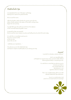## Medhufushi Spa

Conceptualized from pre-Olympian mythology, drawing from natures two great divinities,

the sun and the moon.

After her brother, Helios finishes his journey across the sky, Selene, freshly washed in the waters of the earth-circling ocean, begins her own journey.

As night falls upon the earth we are lit from the radiance of her immortal head and golden crown.

As graceful as they are powerful, the sun and the moon impress an active and fuelling force by which life exists today.

It is with this in mind that we ask you to live every moment of life as the sun rises, and as the sun sets

"celebrate your inspirations…"

We welcome you to the Medhufushi Spa and hope to impart our philosophy to you during your stay.

## Anoint\*

"a symbol to introduce a divine influence"

Such is our spa philosophy, as therapists we cannot enjoy every moment of life without believing passionately in everything we do.

> It is with this in mind that we welcome you to immerse your feet in rose scented water and take pleasure in our signature welcome massage.

This is our complimentary gift to you with selected Medhufushi Spa treatments.

\*anoint is a complimentary ritual specific to nominated treatments & packages

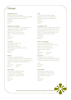## Massage

#### Medhufushi Fusion**\*** Duet**\***

A blend of five world massages, A synchronized four hand massage this signature treatment will promote good health destined to soothe your soul with its by stimulating the body's energy flow. rhythmic technique and uplifting scent. MEDIUM MEDIUM 90 minutes 60 minutes \$117.61 \$148.50

#### Maldivian Sand Massage\* Knowledge of Life<sup>\*</sup>

massage incorporates pure white sand to harmonizes the body's rhythm with nature exfoliate and nourish tired skin. <br>by massaging the intersections of our vital Applied in firm rhythmic strokes life force. Combined with Shirodhara and this is a uniquely beautiful massage. This is a uniquely beautiful massage. FIRM MEDIUM 60 minutes 120 minutes  $$190.08$ 

 $\mathcal{L}_{\mathcal{L}_{\mathcal{L}_{\mathcal{L}_{\mathcal{L}_{\mathcal{L}_{\mathcal{L}_{\mathcal{L}_{\mathcal{L}}}}}}}}(\mathcal{L}_{\mathcal{L}_{\mathcal{L}_{\mathcal{L}_{\mathcal{L}}}}(\mathcal{L}_{\mathcal{L}_{\mathcal{L}_{\mathcal{L}_{\mathcal{L}}}}})}(\mathcal{L}_{\mathcal{L}_{\mathcal{L}_{\mathcal{L}_{\mathcal{L}_{\mathcal{L}}}}}}(\mathcal{L}_{\mathcal{L}_{\mathcal{L}_{\mathcal{L}_{\mathcal{L}}}}})}(\mathcal{L}_{\mathcal{L}_{\mathcal{L}_{\mathcal{L}_{\mathcal{$ 

A specialized massage using This sensory massage focuses on inducing a deep relaxation and the second section of the second space inducing a deep relaxation while still focusing on areas of concern. with a choice of aromatic oils to ALL PRESSURE THE RESOURCE RELATIONS TO PERMIT THE RELATIONS TO PARTICLE AND RELATIONS TO PARTICLE AND RELATIONS 90 minutes SOFT \$136.62 60 minutes 90 minutes

A rhythmic massage combining a state of the A jet lag dream, this foot to knee long strokes and palm pressure to relieve tension, massage incorporates reflexology and shiatsu improve blood flow, ease stress and calm the mind. to balance the body and increase circulation. A deeply relaxing path to health and harmony. FIRM FIRM 60 minutes 90 minutes 60 minutes

\$89.10 \$117.61 \$117.61 \$10.10

A deep tissue massage focusing on A specialized massage enhanced the tension areas of the body with warmed oil to relieve tension. including back, neck and shoulders Only available for woman in their to dissipate any muscular tension. The second and third trimester. FIRM SOFT SERVICES IN THE SOFT SOFT SERVICES IN THE SOFT SERVICES IN THE SOFT SERVICES IN THE SOFT SERVICES IN 30 minutes 60 minutes \$53.46 \$100.98

Drawn from the Maldivian sand treatment this Ayurveda, the ancient healing system of India

#### Hot Stone**\*** Classic Aromatherapy**\***

heated basalt stones and stores swedish techniques promising to ease you  $$89.10$   $$117.61$ 

#### Balinese\* Leg revival**\***

#### Back Therapy Earth Mother**\***

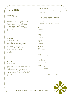## Herbal Heat

#### Udhhvarthanam

"to raise or elevate"

Designed to induce perspiration, initiate weight loss, improve skin complexion and better the mobility of body joints. A fine medicated powder is applied over the body before being infused deep into the skin through a vigorous massage. 90 minutes \$148.50

Navarakizhi "enhancing movement"

Highly effective in enhancing strength, vitality and muscular aches. This treatment has been used for thousands of years combining medicated rice poultices and warmed herbal oils before being applied to the body. 90 minutes \$148.50

#### Vatakazhi

"herbal pain relief"

A therapeutic bundle of herbs, selected for their ability to reduce aches and pains from arthritis, rheumatic joint pain, swelling and sprains, are soaked in warm herbal oils and applied over the body concentrating heat in areas of concern. 90 minutes \$148.50

## The Artist\*

"a person whose creative work shows sensitivity and imagination"

The Medhufushi Spa encourages you to create your own spa experience.

Our spa host will assist you to tailor make a unique journey specific to your instruction.

#### Glow Body Polish 30 minutes

Infuse Body Cocoon 30 minutes

Immerse Herbal Bath 30 minutes

Rejuvenate Facial 75 or 90 minutes

Relax Massage 30, 60 or 90 minutes

Hair Spa Hair Treatment 60 or 75 minutes

**Beautify** Hand & Feet Therapy 30, 60 or 90 minutes

3 hours 4 hours 5 hours \$279.18 \$356.40 \$427.68

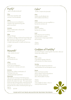## Purify\* "uplift, stimulate & detoxify"

#### Glow

Polish away impurities with coconut, mint & calendula.

#### Infuse

Detoxify as you are enveloped in magnetic clay wrap brimming with green tea extracts.

#### Immerse

Steep in herbal waters infused with aromatic spices.

#### Relax

Balinese Massage A rhythmic massage combining long strokes and palm pressure to relieve tension, improve blood flow, ease stress and calm the mind. A deeply relaxing path to health and harmony.

2.5 hours \$213.84

## Nourish\*

"relax, hydrate & renew"

#### Glow

Reveal silky skin with lavender & rose.

#### Infuse

Hydrate and relax as you are encompassed in rose geranium, rosemary and neem.

#### Immerse

Plunge into a deluxe combination of black pearl, aloe vera, seaweed, lavender & patchouli.

#### Rejuvenate

This treatment introduces the latest proveneffective anti-ageing discovery specifically formulated for the mature skin type. This rejuvenating facial rich with Ginseng extract, Sweet almond oil, Green tea extract, and Rosemary essential oil replenishes the skin while counteracting the signs of ageing.

3 hours \$279.18

## Calm\*

"soothe, compose & rejuvenate"

#### Glow

Gently smooth delicate skin with sandalwood & hibiscus.

#### Infuse

Heal sensitivity as you are engulfed in a lavender & rosemary veil.

#### Immerse

Steep in soothing lavender & rose waters.

#### Cool

Deep cleansing and nourishing, this facial shows a marked improvement in hyper pigmentation and sensitivity.

3 hours \$279.18

# Goddess of Fertility\*

specialised therapies united together to protect, relax and nurture the mother to be

#### Relax

Earth mother. A specialised massage enhanced with warmed oil to relieve tension.

#### Hair Spa

A traditional scalp & hair treatment used herbalised oils and therapeutic touch.

#### Renew

Refine tired hands and feet with an express manicure & pedicure. Refresh nails & cuticles and add a vibrant splash of colour.

3 hours \$279.18 only available for ladies in their second and third trimester.

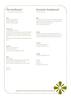# The Gentleman\*

…. the modern mans spa journey

#### Glow

Buff away impurities and brighten the skin with Arabica coffee & vanilla.

#### Herbal Heat

"enhancing movement"

Highly effective in enhancing strength, vitality and muscular aches. This treatment has been used for thousands of years combining medicated rice poultices

and warmed herbal oils before being applied to the body.

#### Immerse

Soak in warm waters and revive the tired soul as cinnamon and orange lighten the air.

#### Relax

Back Therapy A deep tissue massage focusing on the tension areas of the body including back, neck and shoulders to dissipate any muscular tension.

3 hours \$255.42

## Romantic Rendezvous\*

love for a lifetime ….

#### Relax

This sensory massage focuses on Swedish techniques promising to ease you gently into your spa journey with a choice of aromatic oils to relax, stimulate or balance.

#### Balance

This thorough facial is specialized and tailored to treat dry, dehydrated and devitalized skin as it is rich in natural ingredients like Aloe Vera and Avocado.

#### Immerse

In tranquil waters with aromatic lavender & rose.

Indulge In a glass of sparkling wine

3 hours \$261.36 per person two persons minimum

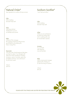# Natural Order\*

Raw ingredients to enhance the spa journey

#### Calm

With a healing lavender body wash.

#### Glow

With hand refined Medhufushi Coconut to exfoliate and nourish.

#### Relax

A blend of five massages, this signature treatment will promote good health by stimulating the body's energy flow.

#### Rejuvenate

Your skin with a facial treatment that takes you back to nature. Your therapist will select from fresh ingredients including tomatoes, carrots, cucumber, green tea, pineapples and limes, and customize it to your skins needs.

3 hours \$255.42

# Sunburn Soother\*

"cool, heal and relieve"

Calm With a healing lavender body wash.

#### Infuse

.

While you are enveloped in an active & cooling mask rich in soothing aloe vera & mineral laden seaweed.

#### Immerse

In a cool bath with repairing rose and lavender.

#### Relax

With a marma point massage applied with a healing oil to calm the sting of sunburn.

2 hours \$172.26

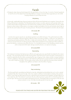## Facials

A therapeutic deep cleansing facial designed for the specification of your skin type. It consists of natural ingredients to treat the skin at the deepest level. Specialized Balinese massage movements help oxygenated your skin whilst bringing relaxation to your body and mind.

#### Rehydrating

A thorough, irreplaceable deep cleansing treatment that will eliminate blackheads and congestion, leaving the skin feeling refreshed and rehydrated. This Rehydrating facial contains cucumber, geranium and Lavender extract. Cucumber extracts help to hydrate the skin and improves the complexion which is absorbed easily by the skin. Whilst Geranium extract reduces inflammation, encourages circulation and tightens the skin and Lavender extract helps to calm the skin and it reduces the signs of scaring and acne. This facial is recommended for normal to oily skin types.

#### 60 minutes \$95

#### Soothing

Sensitive skin requires special care, specialized ingredients and subtle techniques. This gentle treatment mildly cleanses and exfoliates, while decongesting, diffusing redness and calming irritation. Jojoba oil is very effective in preventing and treating infection of the skin, it cleans and moisturizes the skin. Chamomile's extract have been used since ancient times for its calming and anti-inflammatory properties for skin treatments while camellia improves the elasticity, moisturizes and softens the skin. It is a transdermal carrier of cell rebuilding nutrients and bioactive compounds which repairs damage caused by dryness, sun exposure and aging.

#### 60 minutes \$100

#### Rejuvenating

This treatment introduces the latest proven-effective anti-ageing discovery specifically formulated for the mature skin type. This rejuvenating facial rich with Ginseng extract, Sweet almond oil, Green tea extract, and Rosemary essential oil replenishes the skin while counteracting the signs of ageing. It also, relaxes wrinkles, increases hydration and skin's suppleness. The papaya enzyme in this treatment will break down inactive proteins and eliminates dead skin cells to help the skin glow. The bromelain extract softens the skin whilst the Rosemary extract naturally strengthens the capillaries and helps to slow the effects of ageing.

#### 60 minutes \$ 113

#### Deep moisturizing

This thorough facial is specialized and tailored to treat dry, dehydrated and devitalized skin as it is rich in natural ingredients like Aloe Vera and Avocado. Aloe Vera contains a plethora of antioxidants including, beta carotene, vitamin C and E that can help improve the skin's natural firmness and keep the skin hydrated. Avocado helps to remove dead skin cells. This treatment moisturizes the skin without giving it a greasy feel. It is therefore perfect for any skin type. The fruit oils can be easily be absorbed by the skin, It penetrates deep into the layers of the skin and restores nutrients. In turn, this helps stimulate growth of new skin cells.

#### 60 minutes \$113



PLEASE NOTE THAT PRICES ARE QUOTED PER TREATMENT PER PERSON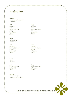## Hands & Feet

#### Absolute

"perfect, complete or pure" 90 minutes

Exfoliation Exfoliation Mask Mask Massage Massage Massage Buff & polish Buff & polish \$124.74 \$124.74

#### Deluxe

"rich in quality" 60 minutes

Exfoliation Exfoliation Massage Massage Buff & polish Buff & polish \$95.04 \$95.04

#### Express

"rapid" 30 minutes

## Feet Hands Buff & polish Buff & polish \$59.40 \$59.40

#### Essentials

"vitally necessary" Waxing & tinting available

#### Feet Hands

Nail & cuticle repair Nail & cuticle repair

Feet Hands Nail & cuticle repair Nail & cuticle repair

Nail & cuticle repair Nail & cuticle repair



PLEASE NOTE THAT PRICES ARE QUOTED PER TREATMENT PER PERSON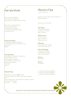# Hair Spa Rituals

In true Ayurvedic tradition, hair is lavishly massaged with nourishing oils infused with precious herbs.

High in anti-oxidant properties this opulent ritual assists in calming the mind while nourishing and strengthening hair to a lustrous shine.

Herbal Scalp Massage\* A traditional scalp & hair treatment used herbalised oils and therapeutic touch. 60 minutes  $\frac{1}{2}$ \$95.04

Hair Rejuvenation\* A decadent combination of massage and mask to balance, nourish and strengthen making hair more resilient to environmental and chemical pollutants. 75 minutes \$124.74

## Natural Facial

Medhufushi's signature facial that takes you back to nature. We will use only natural ingredient with no harmful relying on nature life-force to deliver a vitamin and mineral to your skin 60 minute \$ 89.10

# Element of Spa

"a touch of serenity……"

Be spoilt on the spa express with a selection of effective therapies

Choose from the list below:

Back Massage A deep tissue massage focusing on the tension areas of the back.

Refresher Facial A skin boost with nature's nectars to Cleanse and revive.

Reflexology Pressure point foot massage to stimulate body balance.

Indian Head Massage Pressure point therapy to reduce tension in the scalp, head & shoulders.

Manicure file & polish.

Pedicure file & polish.

2 x 30 minute treatments\$100.98 3 x 30 minute treatments \$148.50 4 x 30 minute treatments\$190.08